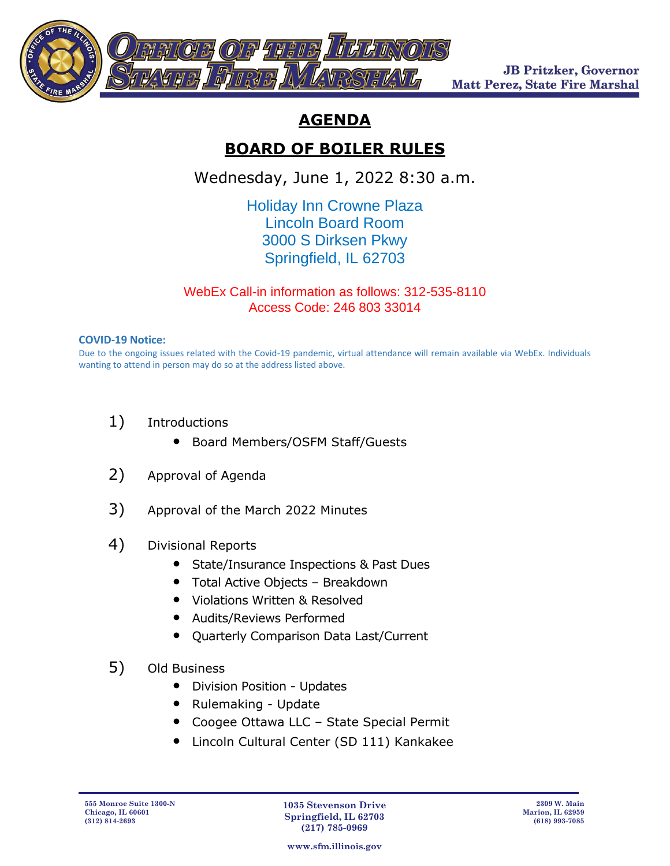

**JB Pritzker, Governor Matt Perez, State Fire Marshal** 

## **AGENDA**

## **BOARD OF BOILER RULES**

Wednesday, June 1, 2022 8:30 a.m.

Holiday Inn Crowne Plaza Lincoln Board Room 3000 S Dirksen Pkwy Springfield, IL 62703

WebEx Call-in information as follows: 312-535-8110 Access Code: 246 803 33014

## **COVID-19 Notice:**

Due to the ongoing issues related with the Covid-19 pandemic, virtual attendance will remain available via WebEx. Individuals wanting to attend in person may do so at the address listed above.

- 1) Introductions
	- Board Members/OSFM Staff/Guests
- 2) Approval of Agenda
- 3) Approval of the March 2022 Minutes
- 4) Divisional Reports
	- State/Insurance Inspections & Past Dues
	- Total Active Objects Breakdown
	- Violations Written & Resolved
	- Audits/Reviews Performed
	- Quarterly Comparison Data Last/Current
- 5) Old Business
	- Division Position Updates
	- Rulemaking Update
	- Coogee Ottawa LLC State Special Permit
	- Lincoln Cultural Center (SD 111) Kankakee